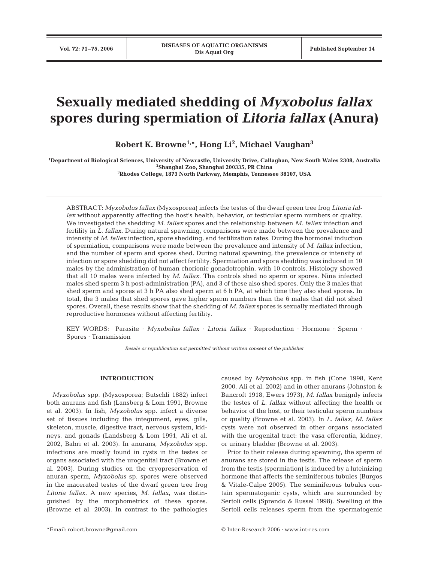# **Sexually mediated shedding of** *Myxobolus fallax* **spores during spermiation of** *Litoria fallax* **(Anura)**

**Robert K. Browne1,\*, Hong Li2 , Michael Vaughan3**

**1 Department of Biological Sciences, University of Newcastle, University Drive, Callaghan, New South Wales 2308, Australia 2 Shanghai Zoo, Shanghai 200335, PR China 3 Rhodes College, 1873 North Parkway, Memphis, Tennessee 38107, USA**

ABSTRACT: *Myxobolus fallax* (Myxosporea) infects the testes of the dwarf green tree frog *Litoria fallax* without apparently affecting the host's health, behavior, or testicular sperm numbers or quality. We investigated the shedding *M*. *fallax* spores and the relationship between *M*. *fallax* infection and fertility in *L. fallax*. During natural spawning, comparisons were made between the prevalence and intensity of *M*. *fallax* infection, spore shedding, and fertilization rates. During the hormonal induction of spermiation, comparisons were made between the prevalence and intensity of *M*. *fallax* infection, and the number of sperm and spores shed. During natural spawning, the prevalence or intensity of infection or spore shedding did not affect fertility. Spermiation and spore shedding was induced in 10 males by the administration of human chorionic gonadotrophin, with 10 controls. Histology showed that all 10 males were infected by *M*. *fallax*. The controls shed no sperm or spores. Nine infected males shed sperm 3 h post-administration (PA), and 3 of these also shed spores. Only the 3 males that shed sperm and spores at 3 h PA also shed sperm at 6 h PA, at which time they also shed spores. In total, the 3 males that shed spores gave higher sperm numbers than the 6 males that did not shed spores. Overall, these results show that the shedding of *M*. *fallax* spores is sexually mediated through reproductive hormones without affecting fertility.

KEY WORDS: Parasite · *Myxobolus fallax* · *Litoria fallax* · Reproduction · Hormone · Sperm · Spores · Transmission

*Resale or republication not permitted without written consent of the publisher*

# **INTRODUCTION**

*Myxobolus* spp. (Myxosporea; Butschli 1882) infect both anurans and fish (Lansberg & Lom 1991, Browne et al. 2003). In fish, *Myxobolus* spp. infect a diverse set of tissues including the integument, eyes, gills, skeleton, muscle, digestive tract, nervous system, kidneys, and gonads (Landsberg & Lom 1991, Ali et al. 2002, Bahri et al. 2003). In anurans, *Myxobolus* spp. infections are mostly found in cysts in the testes or organs associated with the urogenital tract (Browne et al. 2003). During studies on the cryopreservation of anuran sperm, *Myxobolus* sp. spores were observed in the macerated testes of the dwarf green tree frog *Litoria fallax*. A new species, *M. fallax*, was distinguished by the morphometrics of these spores. (Browne et al. 2003). In contrast to the pathologies

caused by *Myxobolus* spp. in fish (Cone 1998, Kent 2000, Ali et al. 2002) and in other anurans (Johnston & Bancroft 1918, Ewers 1973), *M*. *fallax* benignly infects the testes of *L. fallax* without affecting the health or behavior of the host, or their testicular sperm numbers or quality (Browne et al. 2003). In *L*. *fallax*, *M*. *fallax* cysts were not observed in other organs associated with the urogenital tract: the vasa efferentia, kidney, or urinary bladder (Browne et al. 2003).

Prior to their release during spawning, the sperm of anurans are stored in the testis. The release of sperm from the testis (spermiation) is induced by a luteinizing hormone that affects the seminiferous tubules (Burgos & Vitale-Calpe 2005). The seminiferous tubules contain spermatogenic cysts, which are surrounded by Sertoli cells (Sprando & Russel 1998). Swelling of the Sertoli cells releases sperm from the spermatogenic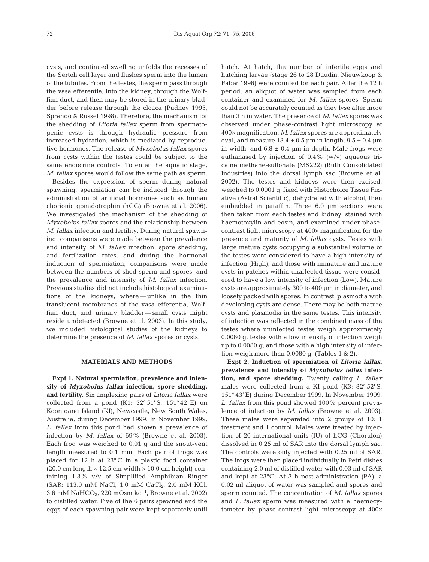cysts, and continued swelling unfolds the recesses of the Sertoli cell layer and flushes sperm into the lumen of the tubules. From the testes, the sperm pass through the vasa efferentia*,* into the kidney, through the Wolffian duct, and then may be stored in the urinary bladder before release through the cloaca (Pudney 1995, Sprando & Russel 1998). Therefore, the mechanism for the shedding of *Litoria fallax* sperm from spermatogenic cysts is through hydraulic pressure from increased hydration, which is mediated by reproductive hormones. The release of *Myxobolus fallax* spores from cysts within the testes could be subject to the same endocrine controls. To enter the aquatic stage, *M*. *fallax* spores would follow the same path as sperm.

Besides the expression of sperm during natural spawning, spermiation can be induced through the administration of artificial hormones such as human chorionic gonadotrophin (hCG) (Browne et al. 2006). We investigated the mechanism of the shedding of *Myxobolus fallax* spores and the relationship between *M*. *fallax* infection and fertility. During natural spawning, comparisons were made between the prevalence and intensity of *M*. *fallax* infection, spore shedding, and fertilization rates, and during the hormonal induction of spermiation, comparisons were made between the numbers of shed sperm and spores, and the prevalence and intensity of *M*. *fallax* infection. Previous studies did not include histological examinations of the kidneys, where — unlike in the thin translucent membranes of the vasa efferentia, Wolffian duct, and urinary bladder — small cysts might reside undetected (Browne et al. 2003). In this study, we included histological studies of the kidneys to determine the presence of *M*. *fallax* spores or cysts.

## **MATERIALS AND METHODS**

**Expt 1. Natural spermiation, prevalence and intensity of** *Myxobolus fallax* **infection, spore shedding, and fertility.** Six amplexing pairs of *Litoria fallax* were collected from a pond  $(K1: 32° 51'S, 151° 42'E)$  on Kooragang Island (KI), Newcastle, New South Wales, Australia, during December 1999. In November 1999, *L*. *fallax* from this pond had shown a prevalence of infection by *M. fallax* of 69% (Browne et al. 2003). Each frog was weighed to 0.01 g and the snout-vent length measured to 0.1 mm. Each pair of frogs was placed for 12 h at 23° C in a plastic food container (20.0 cm length  $\times$  12.5 cm width  $\times$  10.0 cm height) containing 1.3% v/v of Simplified Amphibian Ringer (SAR: 113.0 mM NaCl, 1.0 mM  $CaCl<sub>2</sub>$ , 2.0 mM KCl, 3.6 mM NaHCO<sub>3</sub>; 220 mOsm kg<sup>-1</sup>; Browne et al. 2002) to distilled water. Five of the 6 pairs spawned and the eggs of each spawning pair were kept separately until

hatch. At hatch, the number of infertile eggs and hatching larvae (stage 26 to 28 Daudin; Nieuwkoop & Faber 1996) were counted for each pair. After the 12 h period, an aliquot of water was sampled from each container and examined for *M*. *fallax* spores. Sperm could not be accurately counted as they lyse after more than 3 h in water. The presence of *M*. *fallax* spores was observed under phase-contrast light microscopy at 400× magnification. *M. fallax* spores are approximately oval, and measure  $13.4 \pm 0.5$  µm in length,  $9.5 \pm 0.4$  µm in width, and  $6.8 \pm 0.4$  µm in depth. Male frogs were euthanased by injection of 0.4% (w/v) aqueous tricaine methane-sulfonate (MS222) (Ruth Consolidated Industries) into the dorsal lymph sac (Browne et al. 2002). The testes and kidneys were then excised, weighed to 0.0001 g, fixed with Histochoice Tissue Fixative (Astral Scientific), dehydrated with alcohol, then embedded in paraffin. Three 6.0 µm sections were then taken from each testes and kidney, stained with haemotoxylin and eosin, and examined under phasecontrast light microscopy at 400× magnification for the presence and maturity of *M. fallax* cysts. Testes with large mature cysts occupying a substantial volume of the testes were considered to have a high intensity of infection (High), and those with immature and mature cysts in patches within unaffected tissue were considered to have a low intensity of infection (Low). Mature cysts are approximately 300 to 400 µm in diameter, and loosely packed with spores. In contrast, plasmodia with developing cysts are dense. There may be both mature cysts and plasmodia in the same testes. This intensity of infection was reflected in the combined mass of the testes where uninfected testes weigh approximately 0.0060 g, testes with a low intensity of infection weigh up to 0.0080 g, and those with a high intensity of infection weigh more than 0.0080 g (Tables 1 & 2).

**Expt 2. Induction of spermiation of** *Litoria fallax,* **prevalence and intensity of** *Myxobolus fallax* **infection, and spore shedding.** Twenty calling *L. fallax* males were collected from a KI pond (K3: 32° 52' S, 151° 43' E) during December 1999. In November 1999, *L*. *fallax* from this pond showed 100% percent prevalence of infection by *M. fallax* (Browne et al. 2003). These males were separated into 2 groups of 10: 1 treatment and 1 control. Males were treated by injection of 20 international units (IU) of hCG (Chorulon) dissolved in 0.25 ml of SAR into the dorsal lymph sac. The controls were only injected with 0.25 ml of SAR. The frogs were then placed individually in Petri dishes containing 2.0 ml of distilled water with 0.03 ml of SAR and kept at 23°C. At 3 h post-administration (PA), a 0.02 ml aliquot of water was sampled and spores and sperm counted. The concentration of *M*. *fallax* spores and *L*. *fallax* sperm was measured with a haemocytometer by phase-contrast light microscopy at 400×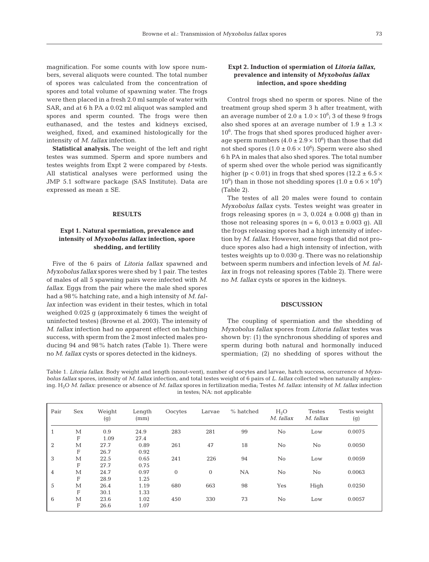magnification. For some counts with low spore numbers, several aliquots were counted. The total number of spores was calculated from the concentration of spores and total volume of spawning water. The frogs were then placed in a fresh 2.0 ml sample of water with SAR, and at 6 h PA a 0.02 ml aliquot was sampled and spores and sperm counted. The frogs were then euthanased, and the testes and kidneys excised, weighed, fixed, and examined histologically for the intensity of *M*. *fallax* infection.

**Statistical analysis.** The weight of the left and right testes was summed. Sperm and spore numbers and testes weights from Expt 2 were compared by *t*-tests. All statistical analyses were performed using the JMP 5.1 software package (SAS Institute). Data are expressed as mean ± SE.

### **RESULTS**

# **Expt 1. Natural spermiation, prevalence and intensity of** *Myxobolus fallax* **infection, spore shedding, and fertility**

Five of the 6 pairs of *Litoria fallax* spawned and *Myxobolus fallax* spores were shed by 1 pair. The testes of males of all 5 spawning pairs were infected with *M*. *fallax*. Eggs from the pair where the male shed spores had a 98% hatching rate, and a high intensity of *M. fallax* infection was evident in their testes, which in total weighed 0.025 g (approximately 6 times the weight of uninfected testes) (Browne et al. 2003). The intensity of *M*. *fallax* infection had no apparent effect on hatching success, with sperm from the 2 most infected males producing 94 and 98% hatch rates (Table 1). There were no *M*. *fallax* cysts or spores detected in the kidneys.

# **Expt 2. Induction of spermiation of** *Litoria fallax,* **prevalence and intensity of** *Myxobolus fallax* **infection, and spore shedding**

Control frogs shed no sperm or spores. Nine of the treatment group shed sperm 3 h after treatment, with an average number of  $2.0 \pm 1.0 \times 10^6$ ; 3 of these 9 frogs also shed spores at an average number of  $1.9 \pm 1.3 \times$ 10<sup>6</sup> . The frogs that shed spores produced higher average sperm numbers  $(4.0 \pm 2.9 \times 10^6)$  than those that did not shed spores  $(1.0 \pm 0.6 \times 10^6)$ . Sperm were also shed 6 h PA in males that also shed spores. The total number of sperm shed over the whole period was significantly higher ( $p < 0.01$ ) in frogs that shed spores (12.2  $\pm$  6.5  $\times$ 10<sup>6</sup>) than in those not shedding spores  $(1.0 \pm 0.6 \times 10^6)$ (Table 2).

The testes of all 20 males were found to contain *Myxobolus fallax* cysts. Testes weight was greater in frogs releasing spores ( $n = 3$ , 0.024  $\pm$  0.008 g) than in those not releasing spores ( $n = 6$ ,  $0.013 \pm 0.003$  g). All the frogs releasing spores had a high intensity of infection by *M*. *fallax*. However, some frogs that did not produce spores also had a high intensity of infection, with testes weights up to 0.030 g. There was no relationship between sperm numbers and infection levels of *M*. *fallax* in frogs not releasing spores (Table 2). There were no *M*. *fallax* cysts or spores in the kidneys.

#### **DISCUSSION**

The coupling of spermiation and the shedding of *Myxobolus fallax* spores from *Litoria fallax* testes was shown by: (1) the synchronous shedding of spores and sperm during both natural and hormonally induced spermiation; (2) no shedding of spores without the

Table 1. *Litoria fallax*. Body weight and length (snout-vent), number of oocytes and larvae, hatch success, occurrence of *Myxobolus fallax* spores*,* intensity of *M. fallax* infection, and total testes weight of 6 pairs of *L*. *fallax* collected when naturally amplexing. H2O *M. fallax*: presence or absence of *M. fallax* spores in fertilization media; Testes *M. fallax*: intensity of *M. fallax* infection in testes; NA: not applicable

| Pair         | <b>Sex</b>                | Weight<br>(g) | Length<br>(mm) | Oocytes      | Larvae       | % hatched | $H_2O$<br>M. fallax | <b>Testes</b><br>M. fallax | Testis weight<br>(g) |
|--------------|---------------------------|---------------|----------------|--------------|--------------|-----------|---------------------|----------------------------|----------------------|
| $\mathbf{1}$ | М                         | 0.9           | 24.9           | 283          | 281          | 99        | No                  | Low                        | 0.0075               |
|              | $\mathbf F$               | 1.09          | 27.4           |              |              |           |                     |                            |                      |
| 2            | $\mathbf{M}$              | 27.7          | 0.89           | 261          | 47           | 18        | $\rm No$            | $\rm No$                   | 0.0050               |
|              | $\boldsymbol{\mathrm{F}}$ | 26.7          | 0.92           |              |              |           |                     |                            |                      |
| 3            | $\mathbf{M}$              | 22.5          | 0.65           | 241          | 226          | 94        | No                  | Low                        | 0.0059               |
|              | $\boldsymbol{\mathrm{F}}$ | 27.7          | 0.75           |              |              |           |                     |                            |                      |
| 4            | М                         | 24.7          | 0.97           | $\mathbf{0}$ | $\mathbf{0}$ | NA        | No                  | $\rm No$                   | 0.0063               |
|              | $\mathbf{F}$              | 28.9          | 1.25           |              |              |           |                     |                            |                      |
| 5            | $\mathbf{M}$              | 26.4          | 1.19           | 680          | 663          | 98        | Yes                 | High                       | 0.0250               |
|              | $\mathbf F$               | 30.1          | 1.33           |              |              |           |                     |                            |                      |
| 6            | М                         | 23.6          | 1.02           | 450          | 330          | 73        | No                  | Low                        | 0.0057               |
|              | $\mathbf{F}$              | 26.6          | 1.07           |              |              |           |                     |                            |                      |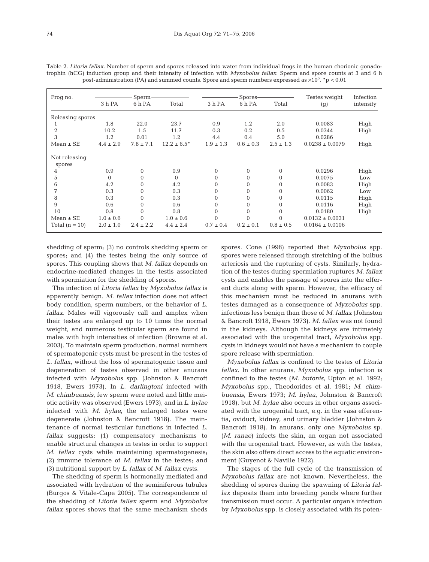| Frog no.                | Sperm<br>3 h PA<br>6 h PA<br>Total |               |                  | Spores<br>3 h PA<br>6 h PA<br>Total |               |               | Testes weight       | Infection<br>intensity |  |  |
|-------------------------|------------------------------------|---------------|------------------|-------------------------------------|---------------|---------------|---------------------|------------------------|--|--|
|                         |                                    |               |                  |                                     |               |               | (g)                 |                        |  |  |
| Releasing spores        |                                    |               |                  |                                     |               |               |                     |                        |  |  |
|                         | 1.8                                | 22.0          | 23.7             | 0.9                                 | 1.2           | 2.0           | 0.0083              | High                   |  |  |
| $\overline{2}$          | 10.2                               | 1.5           | 11.7             | 0.3                                 | 0.2           | 0.5           | 0.0344              | High                   |  |  |
| 3                       | 1.2                                | 0.01          | 1.2              | 4.4                                 | 0.4           | 5.0           | 0.0286              |                        |  |  |
| $Mean \pm SE$           | $4.4 \pm 2.9$                      | $7.8 \pm 7.1$ | $12.2 \pm 6.5^*$ | $1.9 \pm 1.3$                       | $0.6 \pm 0.3$ | $2.5 \pm 1.3$ | $0.0238 \pm 0.0079$ | High                   |  |  |
| Not releasing<br>spores |                                    |               |                  |                                     |               |               |                     |                        |  |  |
| 4                       | 0.9                                | $\Omega$      | 0.9              | $\Omega$                            | $\Omega$      | $\mathbf{0}$  | 0.0296              | High                   |  |  |
| 5                       | $\Omega$                           | $\Omega$      | $\Omega$         | $\Omega$                            | $\Omega$      | $\mathbf{0}$  | 0.0075              | Low                    |  |  |
| 6                       | 4.2                                | $\Omega$      | 4.2              | $\Omega$                            | $\Omega$      | $\Omega$      | 0.0083              | High                   |  |  |
| 7                       | 0.3                                | $\Omega$      | 0.3              | $\Omega$                            | $\Omega$      | $\Omega$      | 0.0062              | Low                    |  |  |
| 8                       | 0.3                                | $\Omega$      | 0.3              | $\Omega$                            | $\Omega$      | $\mathbf{0}$  | 0.0115              | High                   |  |  |
| 9                       | 0.6                                | $\mathbf{0}$  | 0.6              | 0                                   | $\Omega$      | $\mathbf{0}$  | 0.0116              | High                   |  |  |
| 10                      | 0.8                                | $\Omega$      | 0.8              | $\Omega$                            | $\Omega$      | $\Omega$      | 0.0180              | High                   |  |  |
| $Mean \pm SE$           | $1.0 \pm 0.6$                      | $\Omega$      | $1.0 \pm 0.6$    | $\Omega$                            | $\Omega$      |               | $0.0132 \pm 0.0031$ |                        |  |  |
| Total $(n = 10)$        | $2.0 \pm 1.0$                      | $2.4 \pm 2.2$ | $4.4 \pm 2.4$    | $0.7 \pm 0.4$                       | $0.2 \pm 0.1$ | $0.8 \pm 0.5$ | $0.0164 \pm 0.0106$ |                        |  |  |

Table 2. *Litoria fallax.* Number of sperm and spores released into water from individual frogs in the human chorionic gonadotrophin (hCG) induction group and their intensity of infection with *Myxobolus fallax*. Sperm and spore counts at 3 and 6 h post-administration (PA) and summed counts. Spore and sperm numbers expressed as  $\times 10^6$ .  $^{\star}p < 0.01$ 

shedding of sperm; (3) no controls shedding sperm or spores; and (4) the testes being the only source of spores. This coupling shows that *M*. *fallax* depends on endocrine-mediated changes in the testis associated with spermiation for the shedding of spores.

The infection of *Litoria fallax* by *Myxobolus fallax* is apparently benign. *M. fallax* infection does not affect body condition, sperm numbers, or the behavior of *L*. *fallax*. Males will vigorously call and amplex when their testes are enlarged up to 10 times the normal weight, and numerous testicular sperm are found in males with high intensities of infection (Browne et al. 2003). To maintain sperm production, normal numbers of spermatogenic cysts must be present in the testes of *L*. *fallax*, without the loss of spermatogenic tissue and degeneration of testes observed in other anurans infected with *Myxobolus* spp. (Johnston & Bancroft 1918, Ewers 1973). In *L*. *darlingtoni* infected with *M*. *chimbuensis*, few sperm were noted and little meiotic activity was observed (Ewers 1973), and in *L*. *hylae* infected with *M*. *hylae*, the enlarged testes were degenerate (Johnston & Bancroft 1918). The maintenance of normal testicular functions in infected *L*. *fallax* suggests: (1) compensatory mechanisms to enable structural changes in testes in order to support *M. fallax* cysts while maintaining spermatogenesis; (2) immune tolerance of *M. fallax* in the testes; and (3) nutritional support by *L*. *fallax* of *M*. *fallax* cysts.

The shedding of sperm is hormonally mediated and associated with hydration of the seminiferous tubules (Burgos & Vitale-Cape 2005). The correspondence of the shedding of *Litoria fallax* sperm and *Myxobolus fallax* spores shows that the same mechanism sheds

spores. Cone (1998) reported that *Myxobolus* spp. spores were released through stretching of the bulbus arteriosis and the rupturing of cysts. Similarly, hydration of the testes during spermiation ruptures *M*. *fallax* cysts and enables the passage of spores into the efferent ducts along with sperm. However, the efficacy of this mechanism must be reduced in anurans with testes damaged as a consequence of *Myxobolus* spp. infections less benign than those of *M*. *fallax* (Johnston & Bancroft 1918, Ewers 1973). *M. fallax* was not found in the kidneys. Although the kidneys are intimately associated with the urogenital tract, *Myxobolus* spp. cysts in kidneys would not have a mechanism to couple spore release with spermiation.

*Myxobolus fallax* is confined to the testes of *Litoria fallax*. In other anurans, *Myxobolus* spp. infection is confined to the testes (*M*. *bufonis*, Upton et al. 1992; *Myxobolus* spp., Theodorides et al. 1981; *M*. *chimbuensis*, Ewers 1973; *M*. *hylea*, Johnston & Bancroft 1918), but *M*. *hylae* also occurs in other organs associated with the urogenital tract, e.g. in the vasa efferentia, oviduct, kidney, and urinary bladder (Johnston & Bancroft 1918). In anurans, only one *Myxobolus* sp. (*M*. *ranae*) infects the skin, an organ not associated with the urogenital tract. However, as with the testes, the skin also offers direct access to the aquatic environment (Guyenot & Naville 1922).

The stages of the full cycle of the transmission of *Myxobolus fallax* are not known. Nevertheless, the shedding of spores during the spawning of *Litoria fallax* deposits them into breeding ponds where further transmission must occur. A particular organ's infection by *Myxobolus* spp. is closely associated with its poten